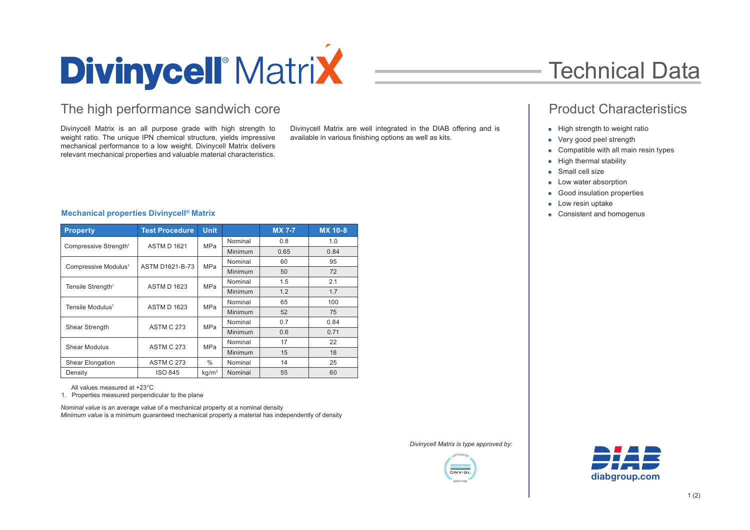

### The high performance sandwich core **Product Characteristics Product Characteristics**

Divinycell Matrix is an all purpose grade with high strength to weight ratio. The unique IPN chemical structure, yields impressive mechanical performance to a low weight. Divinycell Matrix delivers relevant mechanical properties and valuable material characteristics.

Divinycell Matrix are well integrated in the DIAB offering and is available in various finishing options as well as kits.

## Technical Data

- High strength to weight ratio
- Very good peel strength
- Compatible with all main resin types
- High thermal stability
- Small cell size
- Low water absorption
- Good insulation properties
- Low resin uptake
- Consistent and homogenus

### **Mechanical properties Divinycell® Matrix**

| <b>Property</b>                   | <b>Test Procedure</b>  | <b>Unit</b>       |                | <b>MX 7-7</b> | <b>MX 10-8</b> |
|-----------------------------------|------------------------|-------------------|----------------|---------------|----------------|
| Compressive Strength <sup>1</sup> | <b>ASTM D 1621</b>     | <b>MPa</b>        | Nominal        | 0.8           | 1.0            |
|                                   |                        |                   | <b>Minimum</b> | 0.65          | 0.84           |
| Compressive Modulus <sup>1</sup>  | <b>ASTM D1621-B-73</b> | <b>MPa</b>        | Nominal        | 60            | 95             |
|                                   |                        |                   | <b>Minimum</b> | 50            | 72             |
| Tensile Strength <sup>1</sup>     | <b>ASTM D 1623</b>     | <b>MPa</b>        | Nominal        | 1.5           | 2.1            |
|                                   |                        |                   | Minimum        | 1.2           | 1.7            |
| Tensile Modulus <sup>1</sup>      | <b>ASTM D 1623</b>     | <b>MPa</b>        | Nominal        | 65            | 100            |
|                                   |                        |                   | Minimum        | 52            | 75             |
| <b>Shear Strength</b>             | <b>ASTM C 273</b>      | <b>MPa</b>        | Nominal        | 0.7           | 0.84           |
|                                   |                        |                   | Minimum        | 0.6           | 0.71           |
| Shear Modulus                     | <b>ASTM C 273</b>      | MPa               | Nominal        | 17            | 22             |
|                                   |                        |                   | Minimum        | 15            | 18             |
| <b>Shear Elongation</b>           | <b>ASTM C 273</b>      | $\%$              | Nominal        | 14            | 25             |
| Density                           | <b>ISO 845</b>         | kg/m <sup>3</sup> | Nominal        | 55            | 60             |

All values measured at +23°C

1. Properties measured perpendicular to the plane

*Nominal value* is an average value of a mechanical property at a nominal density *Minimum value* is a minimum guaranteed mechanical property a material has independently of density

*Divinycell Matrix is type approved by:*